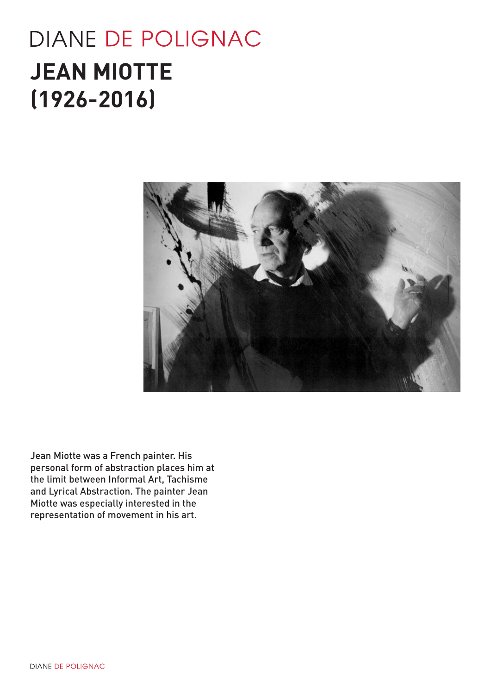# **DIANE DE POLIGNAC JEAN MIOTTE (1926-2016)**



Jean Miotte was a French painter. His personal form of abstraction places him at the limit between Informal Art, Tachisme and Lyrical Abstraction. The painter Jean Miotte was especially interested in the representation of movement in his art.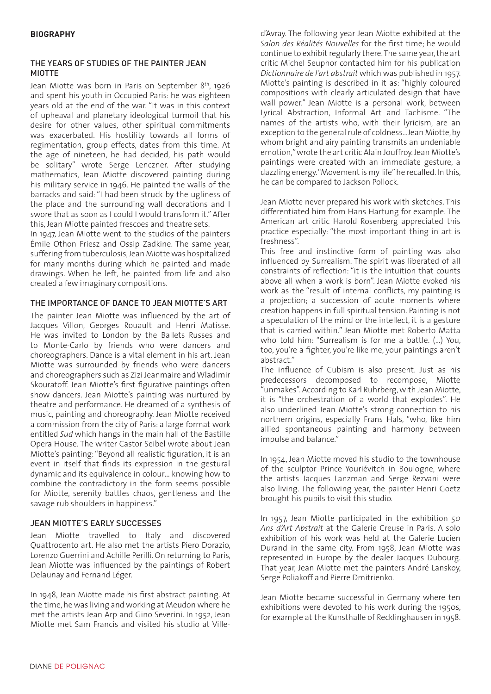## THE YEARS OF STUDIES OF THE PAINTER JEAN MIOTTE

Jean Miotte was born in Paris on September 8<sup>th</sup>, 1926 and spent his youth in Occupied Paris: he was eighteen years old at the end of the war. "It was in this context of upheaval and planetary ideological turmoil that his desire for other values, other spiritual commitments was exacerbated. His hostility towards all forms of regimentation, group effects, dates from this time. At the age of nineteen, he had decided, his path would be solitary" wrote Serge Lenczner. After studying mathematics, Jean Miotte discovered painting during his military service in 1946. He painted the walls of the barracks and said: "I had been struck by the ugliness of the place and the surrounding wall decorations and I swore that as soon as I could I would transform it." After this, Jean Miotte painted frescoes and theatre sets.

In 1947, Jean Miotte went to the studios of the painters Émile Othon Friesz and Ossip Zadkine. The same year, suffering from tuberculosis, Jean Miotte was hospitalized for many months during which he painted and made drawings. When he left, he painted from life and also created a few imaginary compositions.

# THE IMPORTANCE OF DANCE TO JEAN MIOTTE'S ART

The painter Jean Miotte was influenced by the art of Jacques Villon, Georges Rouault and Henri Matisse. He was invited to London by the Ballets Russes and to Monte-Carlo by friends who were dancers and choreographers. Dance is a vital element in his art. Jean Miotte was surrounded by friends who were dancers and choreographers such as Zizi Jeanmaire and Wladimir Skouratoff. Jean Miotte's first figurative paintings often show dancers. Jean Miotte's painting was nurtured by theatre and performance. He dreamed of a synthesis of music, painting and choreography. Jean Miotte received a commission from the city of Paris: a large format work entitled *Sud* which hangs in the main hall of the Bastille Opera House. The writer Castor Seibel wrote about Jean Miotte's painting: "Beyond all realistic figuration, it is an event in itself that finds its expression in the gestural dynamic and its equivalence in colour… knowing how to combine the contradictory in the form seems possible for Miotte, serenity battles chaos, gentleness and the savage rub shoulders in happiness."

## JEAN MIOTTE'S EARLY SUCCESSES

Jean Miotte travelled to Italy and discovered Quattrocento art. He also met the artists Piero Dorazio, Lorenzo Guerrini and Achille Perilli. On returning to Paris, Jean Miotte was influenced by the paintings of Robert Delaunay and Fernand Léger.

In 1948, Jean Miotte made his first abstract painting. At the time, he was living and working at Meudon where he met the artists Jean Arp and Gino Severini. In 1952, Jean Miotte met Sam Francis and visited his studio at Villed'Avray. The following year Jean Miotte exhibited at the *Salon des Réalités Nouvelles* for the first time; he would continue to exhibit regularly there. The same year, the art critic Michel Seuphor contacted him for his publication *Dictionnaire de l'art abstrait* which was published in 1957. Miotte's painting is described in it as: "highly coloured compositions with clearly articulated design that have wall power." Jean Miotte is a personal work, between Lyrical Abstraction, Informal Art and Tachisme. "The names of the artists who, with their lyricism, are an exception to the general rule of coldness…Jean Miotte, by whom bright and airy painting transmits an undeniable emotion," wrote the art critic Alain Jouffroy. Jean Miotte's paintings were created with an immediate gesture, a dazzling energy. "Movement is my life" he recalled. In this, he can be compared to Jackson Pollock.

Jean Miotte never prepared his work with sketches. This differentiated him from Hans Hartung for example. The American art critic Harold Rosenberg appreciated this practice especially: "the most important thing in art is freshness".

This free and instinctive form of painting was also influenced by Surrealism. The spirit was liberated of all constraints of reflection: "it is the intuition that counts above all when a work is born". Jean Miotte evoked his work as the "result of internal conflicts, my painting is a projection; a succession of acute moments where creation happens in full spiritual tension. Painting is not a speculation of the mind or the intellect, it is a gesture that is carried within." Jean Miotte met Roberto Matta who told him: "Surrealism is for me a battle. (…) You, too, you're a fighter, you're like me, your paintings aren't abstract."

The influence of Cubism is also present. Just as his predecessors decomposed to recompose, Miotte "unmakes". According to Karl Ruhrberg, with Jean Miotte, it is "the orchestration of a world that explodes". He also underlined Jean Miotte's strong connection to his northern origins, especially Frans Hals, "who, like him allied spontaneous painting and harmony between impulse and balance."

In 1954, Jean Miotte moved his studio to the townhouse of the sculptor Prince Youriévitch in Boulogne, where the artists Jacques Lanzman and Serge Rezvani were also living. The following year, the painter Henri Goetz brought his pupils to visit this studio.

In 1957, Jean Miotte participated in the exhibition *50 Ans d'Art Abstrait* at the Galerie Creuse in Paris. A solo exhibition of his work was held at the Galerie Lucien Durand in the same city. From 1958, Jean Miotte was represented in Europe by the dealer Jacques Dubourg. That year, Jean Miotte met the painters André Lanskoy, Serge Poliakoff and Pierre Dmitrienko.

Jean Miotte became successful in Germany where ten exhibitions were devoted to his work during the 1950s, for example at the Kunsthalle of Recklinghausen in 1958.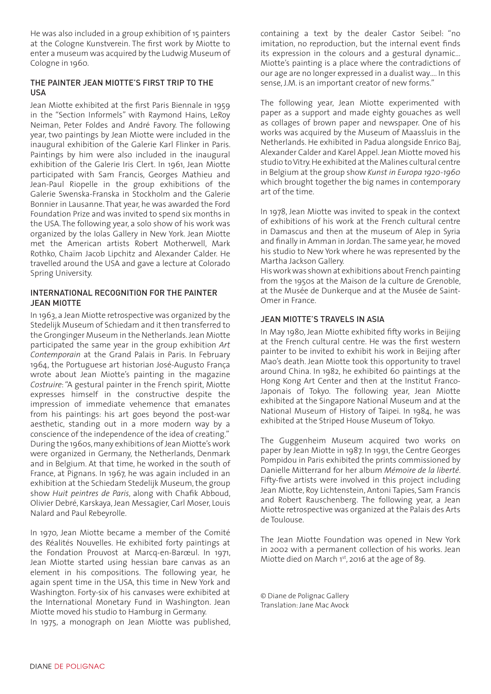He was also included in a group exhibition of 15 painters at the Cologne Kunstverein. The first work by Miotte to enter a museum was acquired by the Ludwig Museum of Cologne in 1960.

### THE PAINTER JEAN MIOTTE'S FIRST TRIP TO THE USA

Jean Miotte exhibited at the first Paris Biennale in 1959 in the "Section Informels" with Raymond Hains, LeRoy Neiman, Peter Foldes and André Favory. The following year, two paintings by Jean Miotte were included in the inaugural exhibition of the Galerie Karl Flinker in Paris. Paintings by him were also included in the inaugural exhibition of the Galerie Iris Clert. In 1961, Jean Miotte participated with Sam Francis, Georges Mathieu and Jean-Paul Riopelle in the group exhibitions of the Galerie Swenska-Franska in Stockholm and the Galerie Bonnier in Lausanne. That year, he was awarded the Ford Foundation Prize and was invited to spend six months in the USA. The following year, a solo show of his work was organized by the Iolas Gallery in New York. Jean Miotte met the American artists Robert Motherwell, Mark Rothko, Chaïm Jacob Lipchitz and Alexander Calder. He travelled around the USA and gave a lecture at Colorado Spring University.

#### INTERNATIONAL RECOGNITION FOR THE PAINTER JEAN MIOTTE

In 1963, a Jean Miotte retrospective was organized by the Stedelijk Museum of Schiedam and it then transferred to the Gronginger Museum in the Netherlands. Jean Miotte participated the same year in the group exhibition *Art Contemporain* at the Grand Palais in Paris. In February 1964, the Portuguese art historian José-Augusto França wrote about Jean Miotte's painting in the magazine *Costruire*: "A gestural painter in the French spirit, Miotte expresses himself in the constructive despite the impression of immediate vehemence that emanates from his paintings: his art goes beyond the post-war aesthetic, standing out in a more modern way by a conscience of the independence of the idea of creating." During the 1960s, many exhibitions of Jean Miotte's work were organized in Germany, the Netherlands, Denmark and in Belgium. At that time, he worked in the south of France, at Pignans. In 1967, he was again included in an exhibition at the Schiedam Stedelijk Museum, the group show *Huit peintres de Paris*, along with Chafik Abboud, Olivier Debré, Karskaya, Jean Messagier, Carl Moser, Louis Nalard and Paul Rebeyrolle.

In 1970, Jean Miotte became a member of the Comité des Réalités Nouvelles. He exhibited forty paintings at the Fondation Prouvost at Marcq-en-Barœul. In 1971, Jean Miotte started using hessian bare canvas as an element in his compositions. The following year, he again spent time in the USA, this time in New York and Washington. Forty-six of his canvases were exhibited at the International Monetary Fund in Washington. Jean Miotte moved his studio to Hamburg in Germany. In 1975, a monograph on Jean Miotte was published, containing a text by the dealer Castor Seibel: "no imitation, no reproduction, but the internal event finds its expression in the colours and a gestural dynamic… Miotte's painting is a place where the contradictions of our age are no longer expressed in a dualist way…. In this sense, J.M. is an important creator of new forms."

The following year, Jean Miotte experimented with paper as a support and made eighty gouaches as well as collages of brown paper and newspaper. One of his works was acquired by the Museum of Maassluis in the Netherlands. He exhibited in Padua alongside Enrico Baj, Alexander Calder and Karel Appel. Jean Miotte moved his studio to Vitry. He exhibited at the Malines cultural centre in Belgium at the group show *Kunst in Europa 1920-1960*  which brought together the big names in contemporary art of the time.

In 1978, Jean Miotte was invited to speak in the context of exhibitions of his work at the French cultural centre in Damascus and then at the museum of Alep in Syria and finally in Amman in Jordan. The same year, he moved his studio to New York where he was represented by the Martha Jackson Gallery.

His work was shown at exhibitions about French painting from the 1950s at the Maison de la culture de Grenoble, at the Musée de Dunkerque and at the Musée de Saint-Omer in France.

## JEAN MIOTTE'S TRAVELS IN ASIA

In May 1980, Jean Miotte exhibited fifty works in Beijing at the French cultural centre. He was the first western painter to be invited to exhibit his work in Beijing after Mao's death. Jean Miotte took this opportunity to travel around China. In 1982, he exhibited 60 paintings at the Hong Kong Art Center and then at the Institut Franco-Japonais of Tokyo. The following year, Jean Miotte exhibited at the Singapore National Museum and at the National Museum of History of Taipei. In 1984, he was exhibited at the Striped House Museum of Tokyo.

The Guggenheim Museum acquired two works on paper by Jean Miotte in 1987. In 1991, the Centre Georges Pompidou in Paris exhibited the prints commissioned by Danielle Mitterrand for her album *Mémoire de la liberté*. Fifty-five artists were involved in this project including Jean Miotte, Roy Lichtenstein, Antoni Tapies, Sam Francis and Robert Rauschenberg. The following year, a Jean Miotte retrospective was organized at the Palais des Arts de Toulouse.

The Jean Miotte Foundation was opened in New York in 2002 with a permanent collection of his works. Jean Miotte died on March 1st, 2016 at the age of 89.

© Diane de Polignac Gallery Translation: Jane Mac Avock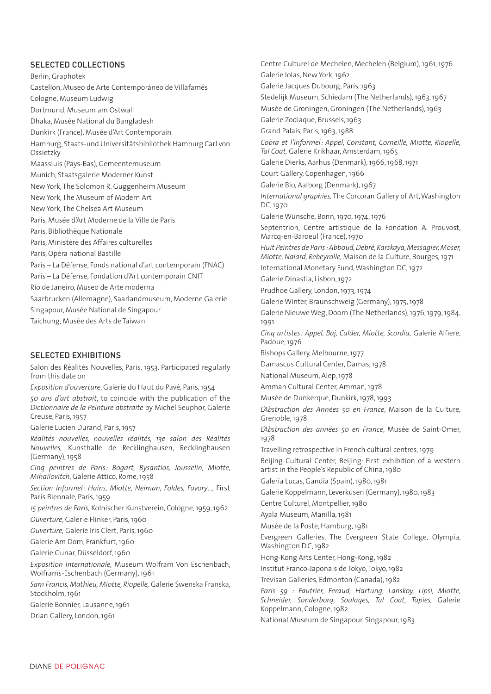#### SELECTED COLLECTIONS

Berlin, Graphotek Castellon, Museo de Arte Contemporáneo de Villafamés Cologne, Museum Ludwig Dortmund, Museum am Ostwall Dhaka, Musée National du Bangladesh Dunkirk (France), Musée d'Art Contemporain Hamburg, Staats-und Universitätsbibliothek Hamburg Carl von Ossietzky Maassluis (Pays-Bas), Gemeentemuseum Munich, Staatsgalerie Moderner Kunst New York, The Solomon R. Guggenheim Museum New York, The Museum of Modern Art New York, The Chelsea Art Museum Paris, Musée d'Art Moderne de la Ville de Paris Paris, Bibliothèque Nationale Paris, Ministère des Affaires culturelles Paris, Opéra national Bastille Paris – La Défense, Fonds national d'art contemporain (FNAC) Paris – La Défense, Fondation d'Art contemporain CNIT Rio de Janeiro, Museo de Arte moderna Saarbrucken (Allemagne), Saarlandmuseum, Moderne Galerie Singapour, Musée National de Singapour Taichung, Musée des Arts de Taiwan

#### SELECTED EXHIBITIONS

Salon des Réalités Nouvelles, Paris, 1953. Participated regularly from this date on

*Exposition d'ouverture*, Galerie du Haut du Pavé, Paris, 1954 *50 ans d'art abstrait*, to coincide with the publication of the *Dictionnaire de la Peinture abstraite* by Michel Seuphor, Galerie Creuse, Paris, 1957

Galerie Lucien Durand, Paris, 1957

*Réalités nouvelles, nouvelles réalités, 13e salon des Réalités Nouvelles,* Kunsthalle de Recklinghausen, Recklinghausen (Germany), 1958

*Cinq peintres de Paris: Bogart, Bysantios, Jousselin, Miotte, Mihailovitch*, Galerie Attico, Rome, 1958

*Section Informel: Hains, Miotte, Neiman, Foldes, Favory*…, First Paris Biennale, Paris, 1959

*15 peintres de Paris,* Kolnischer Kunstverein, Cologne, 1959, 1962

*Ouverture*, Galerie Flinker, Paris, 1960

*Ouverture,* Galerie Iris Clert, Paris, 1960

Galerie Am Dom, Frankfurt, 1960

Galerie Gunar, Düsseldorf, 1960

*Exposition Internationale,* Museum Wolfram Von Eschenbach, Wolframs-Eschenbach (Germany), 1961

*Sam Francis, Mathieu, Miotte, Riopelle,* Galerie Swenska Franska, Stockholm, 1961

Galerie Bonnier, Lausanne, 1961

Drian Gallery, London, 1961

Centre Culturel de Mechelen, Mechelen (Belgium), 1961, 1976 Galerie Iolas, New York, 1962 Galerie Jacques Dubourg, Paris, 1963 Stedelijk Museum, Schiedam (The Netherlands), 1963, 1967 Musée de Groningen, Groningen (The Netherlands), 1963 Galerie Zodiaque, Brussels, 1963 Grand Palais, Paris, 1963, 1988 *Cobra et l'Informel : Appel, Constant, Corneille, Miotte, Riopelle, Tal Coat,* Galerie Krikhaar, Amsterdam, 1965 Galerie Dierks, Aarhus (Denmark), 1966, 1968, 1971 Court Gallery, Copenhagen, 1966 Galerie Bio, Aalborg (Denmark), 1967 *International graphies,* The Corcoran Gallery of Art, Washington DC, 1970 Galerie Wünsche, Bonn, 1970, 1974, 1976 Septentrion, Centre artistique de la Fondation A. Prouvost, Marcq-en-Baroeul (France), 1970 *Huit Peintres de Paris : Abboud, Debré, Karskaya, Messagier, Moser, Miotte, Nalard, Rebeyrolle,* Maison de la Culture, Bourges, 1971 International Monetary Fund, Washington DC, 1972 Galerie Dinastia, Lisbon, 1972 Prudhoe Gallery, London, 1973, 1974 Galerie Winter, Braunschweig (Germany), 1975, 1978 Galerie Nieuwe Weg, Doorn (The Netherlands), 1976, 1979, 1984, 1991 *Cinq artistes: Appel, Baj, Calder, Miotte, Scordia,* Galerie Alfiere, Padoue, 1976 Bishops Gallery, Melbourne, 1977 Damascus Cultural Center, Damas, 1978 National Museum, Alep, 1978 Amman Cultural Center, Amman, 1978 Musée de Dunkerque, Dunkirk, 1978, 1993 *L'Abstraction des Années 50 en France*, Maison de la Culture, Grenoble, 1978 *L'Abstraction des années 50 en France*, Musée de Saint-Omer, 1978 Travelling retrospective in French cultural centres, 1979 Beijing Cultural Center, Beijing: First exhibition of a western artist in the People's Republic of China, 1980 Galería Lucas, Gandía (Spain), 1980, 1981 Galerie Koppelmann, Leverkusen (Germany), 1980, 1983 Centre Culturel, Montpellier, 1980 Ayala Museum, Manilla, 1981 Musée de la Poste, Hamburg, 1981 Evergreen Galleries, The Evergreen State College, Olympia, Washington D.C, 1982 Hong-Kong Arts Center, Hong-Kong, 1982 Institut Franco-Japonais de Tokyo, Tokyo, 1982 Trevisan Galleries, Edmonton (Canada), 1982 *Paris 59 : Fautrier, Feraud, Hartung, Lanskoy, Lipsi, Miotte, Schneider, Sonderborg, Soulages, TaI Coat, Tapies,* Galerie Koppelmann, Cologne, 1982

National Museum de Singapour, Singapour, 1983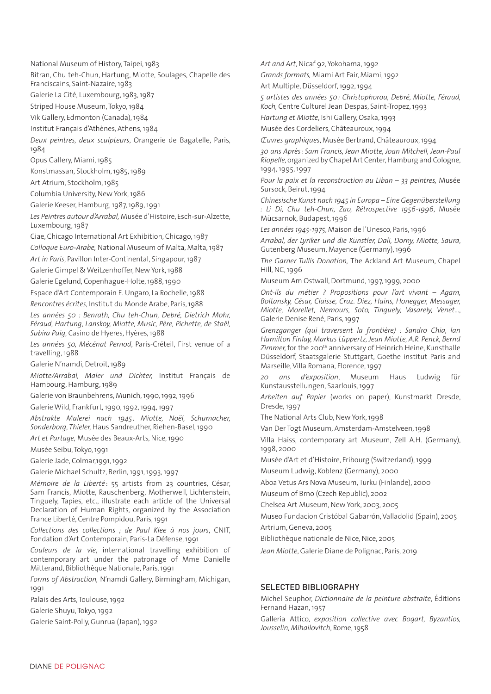National Museum of History, Taipei, 1983

Bitran, Chu teh-Chun, Hartung, Miotte, Soulages, Chapelle des

Franciscains, Saint-Nazaire, 1983

Galerie La Cité, Luxembourg, 1983, 1987

Striped House Museum, Tokyo, 1984

Vik Gallery, Edmonton (Canada), 1984

Institut Français d'Athènes, Athens, 1984

*Deux peintres, deux sculpteurs*, Orangerie de Bagatelle, Paris, 1984

Opus Gallery, Miami, 1985

Konstmassan, Stockholm, 1985, 1989

Art Atrium, Stockholm, 1985

Columbia University, New York, 1986

Galerie Keeser, Hamburg, 1987, 1989, 1991

*Les Peintres autour d'Arrabal,* Musée d'Histoire, Esch-sur-Alzette, Luxembourg, 1987

Ciae, Chicago International Art Exhibition, Chicago, 1987

*Colloque Euro-Arabe,* National Museum of Malta, Malta, 1987

*Art in Paris*, Pavillon Inter-Continental, Singapour, 1987

Galerie Gimpel & Weitzenhoffer, New York, 1988

Galerie Egelund, Copenhague-Holte, 1988, 1990

Espace d'Art Contemporain E. Ungaro, La Rochelle, 1988

*Rencontres écrites*, Institut du Monde Arabe, Paris, 1988

*Les années 50 : Benrath, Chu teh-Chun, Debré, Dietrich Mohr, Féraud, Hartung, Lanskoy, Miotte, Music, Père, Pichette, de Staël, Subira Puig,* Casino de Hyeres, Hyères, 1988

*Les années 50, Mécénat Pernod*, Paris-Créteil, First venue of a travelling, 1988

Galerie N'namdi, Detroit, 1989

*Miotte/Arrabal, Maler und Dichter,* Institut Français de Hambourg, Hamburg, 1989

Galerie von Braunbehrens, Munich, 1990, 1992, 1996

Galerie Wild, Frankfurt, 1990, 1992, 1994, 1997

*Abstrakte Malerei nach 1945 : Miotte, Noël, Schumacher, Sonderborg, Thieler,* Haus Sandreuther, Riehen-Basel, 1990

*Art et Partage,* Musée des Beaux-Arts, Nice, 1990

Musée Seibu, Tokyo, 1991

Galerie Jade, Colmar,1991, 1992

Galerie Michael Schultz, Berlin, 1991, 1993, 1997

*Mémoire de la Liberté* : 55 artists from 23 countries, César, Sam Francis, Miotte, Rauschenberg, Motherwell, Lichtenstein, Tinguely, Tapies, etc., illustrate each article of the Universal Declaration of Human Rights, organized by the Association France Liberté, Centre Pompidou, Paris, 1991

*Collections des collections ; de Paul Klee à nos jours*, CNIT, Fondation d'Art Contemporain, Paris-La Défense, 1991

*Couleurs de la vie*, international travelling exhibition of contemporary art under the patronage of Mme Danielle Mitterand, Bibliothèque Nationale, Paris, 1991

*Forms of Abstraction,* N'namdi Gallery, Birmingham, Michigan, 1991

Palais des Arts, Toulouse, 1992

Galerie Shuyu, Tokyo, 1992

Galerie Saint-Polly, Gunrua (Japan), 1992

*Art and Art*, Nicaf 92, Yokohama, 1992

*Grands formats,* Miami Art Fair, Miami, 1992

Art Multiple, Düsseldorf, 1992, 1994

*5 artistes des années 50: Christophorou, Debré, Miotte, Féraud, Koch,* Centre Culturel Jean Despas, Saint-Tropez, 1993

*Hartung et Miotte*, Ishi Gallery, Osaka, 1993

Musée des Cordeliers, Châteauroux, 1994

*Œuvres graphiques*, Musée Bertrand, Châteauroux, 1994

*30 ans Après: Sam Francis, Jean Miotte, Joan Mitchell, Jean-Paul Riopelle,* organized by Chapel Art Center, Hamburg and Cologne, 1994, 1995, 1997

*Pour la paix et la reconstruction au Liban – 33 peintres,* Musée Sursock, Beirut, 1994

*Chinesische Kunst nach 1945 in Europa – Eine Gegenüberstellung : Li Di, Chu teh-Chun, Zao, Rétrospective 1956-1996*, Musée Mücsarnok, Budapest, 1996

*Les années 1945-1975*, Maison de l'Unesco, Paris, 1996

*Arrabal, der Lyriker und die Künstler, Dali, Dorny, Miotte, Saura*, Gutenberg Museum, Mayence (Germany), 1996

*The Garner Tullis Donation,* The Ackland Art Museum, Chapel Hill, NC, 1996

Museum Am Ostwall, Dortmund, 1997, 1999, 2000

*Ont-ils du métier ? Propositions pour l'art vivant – Agam, Boltansky, César, Claisse, Cruz. Diez, Hains, Honegger, Messager, Miotte, Morellet, Nemours, Soto, Tinguely, Vasarely, Venet*…, Galerie Denise René, Paris, 1997

*Grenzganger (qui traversent la frontière) : Sandro Chia, lan Hamilton Finlay, Markus Lüppertz, Jean Miotte, A.R. Penck, Bernd*  Zimmer, for the 200<sup>th</sup> anniversary of Heinrich Heine, Kunsthalle Düsseldorf, Staatsgalerie Stuttgart, Goethe institut Paris and Marseille, Villa Romana, Florence, 1997

*20 ans d'exposition*, Museum Haus Ludwig für Kunstausstellungen, Saarlouis, 1997

*Arbeiten auf Papier* (works on paper), Kunstmarkt Dresde, Dresde, 1997

The National Arts Club, New York, 1998

Van Der Togt Museum, Amsterdam-Amstelveen, 1998

Villa Haiss, contemporary art Museum, Zell A.H. (Germany), 1998, 2000

Musée d'Art et d'Histoire, Fribourg (Switzerland), 1999

Museum Ludwig, Koblenz (Germany), 2000

Aboa Vetus Ars Nova Museum, Turku (Finlande), 2000

Museum of Brno (Czech Republic), 2002

Chelsea Art Museum, New York, 2003, 2005

Museo Fundacion Cristóbal Gabarrón, Valladolid (Spain), 2005 Artrium, Geneva, 2005

Bibliothèque nationale de Nice, Nice, 2005

*Jean Miotte*, Galerie Diane de Polignac, Paris, 2019

#### SELECTED BIBLIOGRAPHY

Michel Seuphor, *Dictionnaire de la peinture abstraite*, Éditions Fernand Hazan, 1957

Galleria Attico, *exposition collective avec Bogart, Byzantios, Jousselin, Mihailovitch*, Rome, 1958